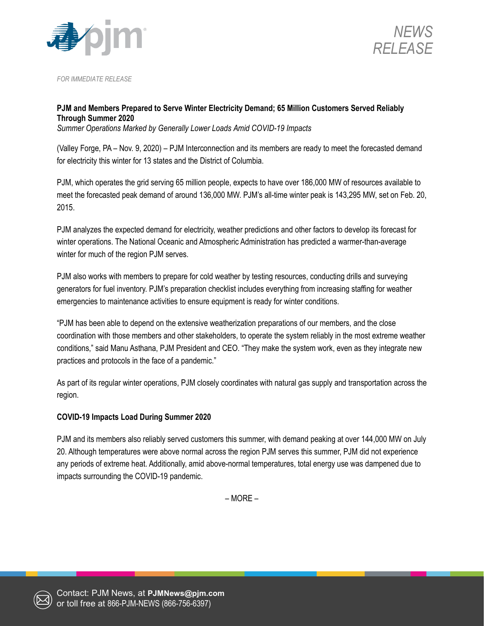



*FOR IMMEDIATE RELEASE*

## **PJM and Members Prepared to Serve Winter Electricity Demand; 65 Million Customers Served Reliably Through Summer 2020**

*Summer Operations Marked by Generally Lower Loads Amid COVID-19 Impacts*

(Valley Forge, PA – Nov. 9, 2020) – PJM Interconnection and its members are ready to meet the forecasted demand for electricity this winter for 13 states and the District of Columbia.

PJM, which operates the grid serving 65 million people, expects to have over 186,000 MW of resources available to meet the forecasted peak demand of around 136,000 MW. PJM's all-time winter peak is 143,295 MW, set on Feb. 20, 2015.

PJM analyzes the expected demand for electricity, weather predictions and other factors to develop its forecast for winter operations. The National Oceanic and Atmospheric Administration has predicted a warmer-than-average winter for much of the region PJM serves.

PJM also works with members to prepare for cold weather by testing resources, conducting drills and surveying generators for fuel inventory. PJM's preparation checklist includes everything from increasing staffing for weather emergencies to maintenance activities to ensure equipment is ready for winter conditions.

"PJM has been able to depend on the extensive weatherization preparations of our members, and the close coordination with those members and other stakeholders, to operate the system reliably in the most extreme weather conditions," said Manu Asthana, PJM President and CEO. "They make the system work, even as they integrate new practices and protocols in the face of a pandemic."

As part of its regular winter operations, PJM closely coordinates with natural gas supply and transportation across the region.

## **COVID-19 Impacts Load During Summer 2020**

PJM and its members also reliably served customers this summer, with demand peaking at over 144,000 MW on July 20. Although temperatures were above normal across the region PJM serves this summer, PJM did not experience any periods of extreme heat. Additionally, amid above-normal temperatures, total energy use was dampened due to impacts surrounding the COVID-19 pandemic.

– MORE –